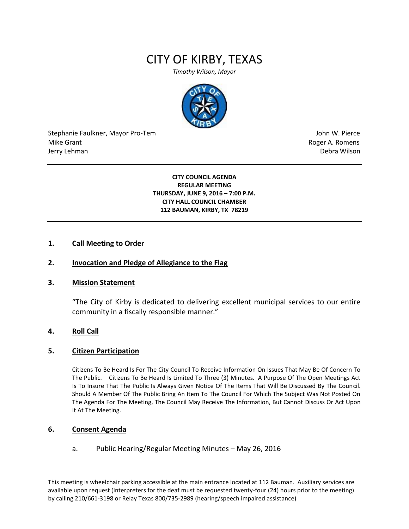# CITY OF KIRBY, TEXAS

*Timothy Wilson, Mayor*



Stephanie Faulkner, Mayor Pro-Tem John W. Pierce Mike Grant **Mike Grant** Roger A. Romens **Contract A. Romens Roger A. Romens** Jerry Lehman Debra Wilson (2008) and the state of the state of the state of the state of the state of the state of the state of the state of the state of the state of the state of the state of the state of the state of the

**CITY COUNCIL AGENDA REGULAR MEETING THURSDAY, JUNE 9, 2016 – 7:00 P.M. CITY HALL COUNCIL CHAMBER 112 BAUMAN, KIRBY, TX 78219**

## **1. Call Meeting to Order**

## **2. Invocation and Pledge of Allegiance to the Flag**

#### **3. Mission Statement**

"The City of Kirby is dedicated to delivering excellent municipal services to our entire community in a fiscally responsible manner."

### **4. Roll Call**

#### **5. Citizen Participation**

Citizens To Be Heard Is For The City Council To Receive Information On Issues That May Be Of Concern To The Public. Citizens To Be Heard Is Limited To Three (3) Minutes. A Purpose Of The Open Meetings Act Is To Insure That The Public Is Always Given Notice Of The Items That Will Be Discussed By The Council. Should A Member Of The Public Bring An Item To The Council For Which The Subject Was Not Posted On The Agenda For The Meeting, The Council May Receive The Information, But Cannot Discuss Or Act Upon It At The Meeting.

# **6. Consent Agenda**

a. Public Hearing/Regular Meeting Minutes – May 26, 2016

This meeting is wheelchair parking accessible at the main entrance located at 112 Bauman. Auxiliary services are available upon request (interpreters for the deaf must be requested twenty-four (24) hours prior to the meeting) by calling 210/661-3198 or Relay Texas 800/735-2989 (hearing/speech impaired assistance)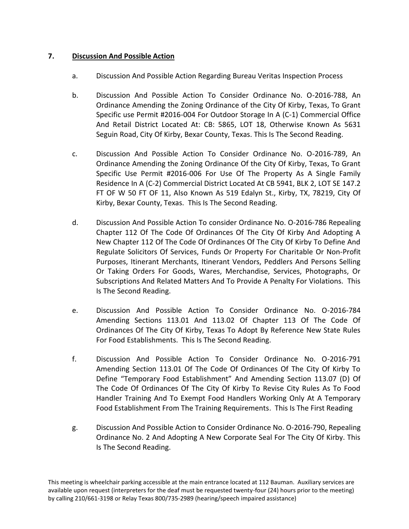# **7. Discussion And Possible Action**

- a. Discussion And Possible Action Regarding Bureau Veritas Inspection Process
- b. Discussion And Possible Action To Consider Ordinance No. O-2016-788, An Ordinance Amending the Zoning Ordinance of the City Of Kirby, Texas, To Grant Specific use Permit #2016-004 For Outdoor Storage In A (C-1) Commercial Office And Retail District Located At: CB: 5865, LOT 18, Otherwise Known As 5631 Seguin Road, City Of Kirby, Bexar County, Texas. This Is The Second Reading.
- c. Discussion And Possible Action To Consider Ordinance No. O-2016-789, An Ordinance Amending the Zoning Ordinance Of the City Of Kirby, Texas, To Grant Specific Use Permit #2016-006 For Use Of The Property As A Single Family Residence In A (C-2) Commercial District Located At CB 5941, BLK 2, LOT SE 147.2 FT OF W 50 FT OF 11, Also Known As 519 Edalyn St., Kirby, TX, 78219, City Of Kirby, Bexar County, Texas. This Is The Second Reading.
- d. Discussion And Possible Action To consider Ordinance No. O-2016-786 Repealing Chapter 112 Of The Code Of Ordinances Of The City Of Kirby And Adopting A New Chapter 112 Of The Code Of Ordinances Of The City Of Kirby To Define And Regulate Solicitors Of Services, Funds Or Property For Charitable Or Non-Profit Purposes, Itinerant Merchants, Itinerant Vendors, Peddlers And Persons Selling Or Taking Orders For Goods, Wares, Merchandise, Services, Photographs, Or Subscriptions And Related Matters And To Provide A Penalty For Violations. This Is The Second Reading.
- e. Discussion And Possible Action To Consider Ordinance No. O-2016-784 Amending Sections 113.01 And 113.02 Of Chapter 113 Of The Code Of Ordinances Of The City Of Kirby, Texas To Adopt By Reference New State Rules For Food Establishments. This Is The Second Reading.
- f. Discussion And Possible Action To Consider Ordinance No. O-2016-791 Amending Section 113.01 Of The Code Of Ordinances Of The City Of Kirby To Define "Temporary Food Establishment" And Amending Section 113.07 (D) Of The Code Of Ordinances Of The City Of Kirby To Revise City Rules As To Food Handler Training And To Exempt Food Handlers Working Only At A Temporary Food Establishment From The Training Requirements. This Is The First Reading
- g. Discussion And Possible Action to Consider Ordinance No. O-2016-790, Repealing Ordinance No. 2 And Adopting A New Corporate Seal For The City Of Kirby. This Is The Second Reading.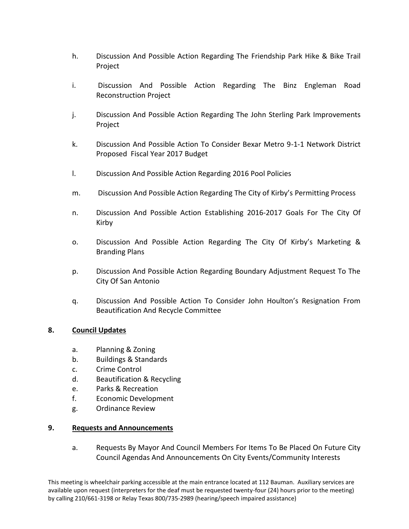- h. Discussion And Possible Action Regarding The Friendship Park Hike & Bike Trail Project
- i. Discussion And Possible Action Regarding The Binz Engleman Road Reconstruction Project
- j. Discussion And Possible Action Regarding The John Sterling Park Improvements Project
- k. Discussion And Possible Action To Consider Bexar Metro 9-1-1 Network District Proposed Fiscal Year 2017 Budget
- l. Discussion And Possible Action Regarding 2016 Pool Policies
- m. Discussion And Possible Action Regarding The City of Kirby's Permitting Process
- n. Discussion And Possible Action Establishing 2016-2017 Goals For The City Of Kirby
- o. Discussion And Possible Action Regarding The City Of Kirby's Marketing & Branding Plans
- p. Discussion And Possible Action Regarding Boundary Adjustment Request To The City Of San Antonio
- q. Discussion And Possible Action To Consider John Houlton's Resignation From Beautification And Recycle Committee

# **8. Council Updates**

- a. Planning & Zoning
- b. Buildings & Standards
- c. Crime Control
- d. Beautification & Recycling
- e. Parks & Recreation
- f. Economic Development
- g. Ordinance Review

# **9. Requests and Announcements**

a. Requests By Mayor And Council Members For Items To Be Placed On Future City Council Agendas And Announcements On City Events/Community Interests

This meeting is wheelchair parking accessible at the main entrance located at 112 Bauman. Auxiliary services are available upon request (interpreters for the deaf must be requested twenty-four (24) hours prior to the meeting) by calling 210/661-3198 or Relay Texas 800/735-2989 (hearing/speech impaired assistance)